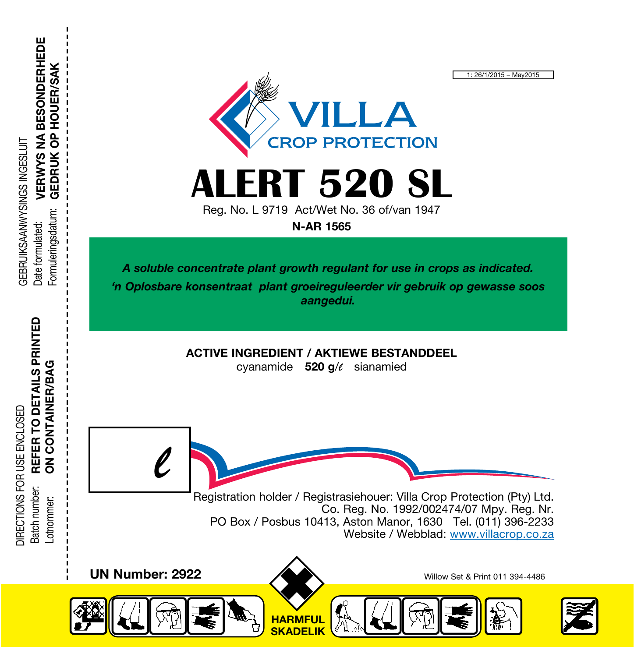

**LERT 520 SL** 

Reg. No. L 9719 Act/Wet No. 36 of/van 1947 N-AR 1565

A soluble concentrate plant growth regulant for use in crops as indicated. 'n Oplosbare konsentraat plant groeireguleerder vir gebruik op gewasse soos aangedui.

ACTIVE INGREDIENT / AKTIEWE BESTANDDEEL

cyanamide 520 g/*l* sianamied

Registration holder / Registrasiehouer: Villa Crop Protection (Pty) Ltd. Co. Reg. No. 1992/002474/07 Mpy. Reg. Nr. PO Box / Posbus 10413, Aston Manor, 1630 Tel. (011) 396-2233 Website / Webblad: www.villacrop.co.za





1: 26/1/2015 – May2015

REFER TO DETAILS PRINTED REFER TO DETAILS PRINTED **ON CONTAINER/BAG** ON CONTAINER/BAG DIRECTIONS FOR USE ENCLOSED DIRECTIONS FOR USE ENCLOSED Batch number: Batch number: .otnommer: Lotnommer:

*l*

VERWYS NA BESONDERHEDE VERWYS NA BESONDERHEDE **GEDRUK OP HOUER/SAK** GEBRUIKSAANWYSINGS INGESLUIT **GEBRUIKSAANWYSINGS INGESLUT** Fomuleringsdatum: Formuleringsdatum: Date formulated: Date formulated:

GEDRUK OP HOUER/SAK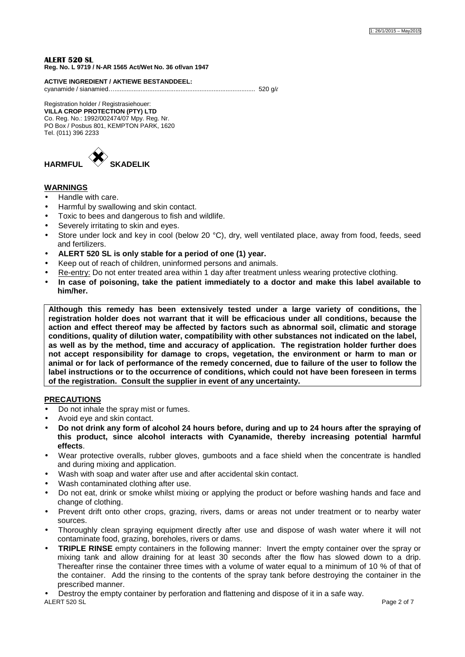**ALERT 520 SL Reg. No. L 9719 / N-AR 1565 Act/Wet No. 36 of/van 1947** 

**ACTIVE INGREDIENT / AKTIEWE BESTANDDEEL:** 

cyanamide / sianamied…................................................................................. 520 g/*l*

# Registration holder / Registrasiehouer:

**VILLA CROP PROTECTION (PTY) LTD**  Co. Reg. No.: 1992/002474/07 Mpy. Reg. Nr. PO Box / Posbus 801, KEMPTON PARK, 1620 Tel. (011) 396 2233



# **WARNINGS**

- Handle with care.
- Harmful by swallowing and skin contact.
- Toxic to bees and dangerous to fish and wildlife.
- Severely irritating to skin and eyes.
- Store under lock and key in cool (below 20 °C), dry, well ventilated place, away from food, feeds, seed and fertilizers.
- **ALERT 520 SL is only stable for a period of one (1) year.**
- Keep out of reach of children, uninformed persons and animals.
- Re-entry: Do not enter treated area within 1 day after treatment unless wearing protective clothing.
- **In case of poisoning, take the patient immediately to a doctor and make this label available to him/her.**

**Although this remedy has been extensively tested under a large variety of conditions, the registration holder does not warrant that it will be efficacious under all conditions, because the action and effect thereof may be affected by factors such as abnormal soil, climatic and storage conditions, quality of dilution water, compatibility with other substances not indicated on the label, as well as by the method, time and accuracy of application. The registration holder further does not accept responsibility for damage to crops, vegetation, the environment or harm to man or animal or for lack of performance of the remedy concerned, due to failure of the user to follow the label instructions or to the occurrence of conditions, which could not have been foreseen in terms of the registration. Consult the supplier in event of any uncertainty.** 

# **PRECAUTIONS**

- Do not inhale the spray mist or fumes.
- Avoid eye and skin contact.
- **Do not drink any form of alcohol 24 hours before, during and up to 24 hours after the spraying of this product, since alcohol interacts with Cyanamide, thereby increasing potential harmful effects**.
- Wear protective overalls, rubber gloves, gumboots and a face shield when the concentrate is handled and during mixing and application.
- Wash with soap and water after use and after accidental skin contact.
- Wash contaminated clothing after use.
- Do not eat, drink or smoke whilst mixing or applying the product or before washing hands and face and change of clothing.
- Prevent drift onto other crops, grazing, rivers, dams or areas not under treatment or to nearby water sources.
- Thoroughly clean spraying equipment directly after use and dispose of wash water where it will not contaminate food, grazing, boreholes, rivers or dams.
- **TRIPLE RINSE** empty containers in the following manner: Invert the empty container over the spray or mixing tank and allow draining for at least 30 seconds after the flow has slowed down to a drip. Thereafter rinse the container three times with a volume of water equal to a minimum of 10 % of that of the container. Add the rinsing to the contents of the spray tank before destroying the container in the prescribed manner.

ALERT 520 SL Page 2 of 7 • Destroy the empty container by perforation and flattening and dispose of it in a safe way.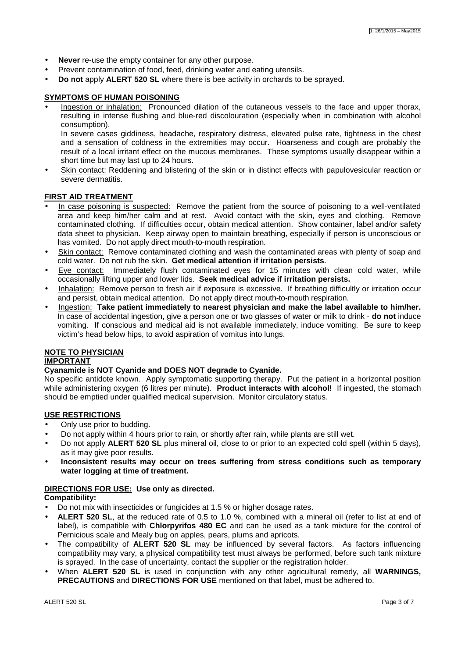- **Never** re-use the empty container for any other purpose.
- Prevent contamination of food, feed, drinking water and eating utensils.
- **Do not** apply **ALERT 520 SL** where there is bee activity in orchards to be sprayed.

### **SYMPTOMS OF HUMAN POISONING**

Ingestion or inhalation: Pronounced dilation of the cutaneous vessels to the face and upper thorax, resulting in intense flushing and blue-red discolouration (especially when in combination with alcohol consumption).

In severe cases giddiness, headache, respiratory distress, elevated pulse rate, tightness in the chest and a sensation of coldness in the extremities may occur. Hoarseness and cough are probably the result of a local irritant effect on the mucous membranes. These symptoms usually disappear within a short time but may last up to 24 hours.

Skin contact: Reddening and blistering of the skin or in distinct effects with papulovesicular reaction or severe dermatitis.

#### **FIRST AID TREATMENT**

- In case poisoning is suspected: Remove the patient from the source of poisoning to a well-ventilated area and keep him/her calm and at rest. Avoid contact with the skin, eyes and clothing. Remove contaminated clothing. If difficulties occur, obtain medical attention. Show container, label and/or safety data sheet to physician. Keep airway open to maintain breathing, especially if person is unconscious or has vomited. Do not apply direct mouth-to-mouth respiration.
- Skin contact: Remove contaminated clothing and wash the contaminated areas with plenty of soap and cold water. Do not rub the skin. **Get medical attention if irritation persists**.
- Eye contact: Immediately flush contaminated eyes for 15 minutes with clean cold water, while occasionally lifting upper and lower lids. **Seek medical advice if irritation persists.**
- Inhalation: Remove person to fresh air if exposure is excessive. If breathing difficultly or irritation occur and persist, obtain medical attention. Do not apply direct mouth-to-mouth respiration.
- Ingestion: **Take patient immediately to nearest physician and make the label available to him/her.**  In case of accidental ingestion, give a person one or two glasses of water or milk to drink - **do not** induce vomiting. If conscious and medical aid is not available immediately, induce vomiting. Be sure to keep victim's head below hips, to avoid aspiration of vomitus into lungs.

### **NOTE TO PHYSICIAN**

#### **IMPORTANT**

#### **Cyanamide is NOT Cyanide and DOES NOT degrade to Cyanide.**

No specific antidote known. Apply symptomatic supporting therapy. Put the patient in a horizontal position while administering oxygen (6 litres per minute). **Product interacts with alcohol!** If ingested, the stomach should be emptied under qualified medical supervision. Monitor circulatory status.

#### **USE RESTRICTIONS**

- Only use prior to budding.
- Do not apply within 4 hours prior to rain, or shortly after rain, while plants are still wet.
- Do not apply **ALERT 520 SL** plus mineral oil, close to or prior to an expected cold spell (within 5 days), as it may give poor results.
- **Inconsistent results may occur on trees suffering from stress conditions such as temporary water logging at time of treatment.**

#### **DIRECTIONS FOR USE: Use only as directed.**

**Compatibility:** 

- Do not mix with insecticides or fungicides at 1.5 % or higher dosage rates.
- **ALERT 520 SL**, at the reduced rate of 0.5 to 1.0 %, combined with a mineral oil (refer to list at end of label), is compatible with **Chlorpyrifos 480 EC** and can be used as a tank mixture for the control of Pernicious scale and Mealy bug on apples, pears, plums and apricots.
- The compatibility of **ALERT 520 SL** may be influenced by several factors. As factors influencing compatibility may vary, a physical compatibility test must always be performed, before such tank mixture is sprayed. In the case of uncertainty, contact the supplier or the registration holder.
- When **ALERT 520 SL** is used in conjunction with any other agricultural remedy, all **WARNINGS, PRECAUTIONS** and **DIRECTIONS FOR USE** mentioned on that label, must be adhered to.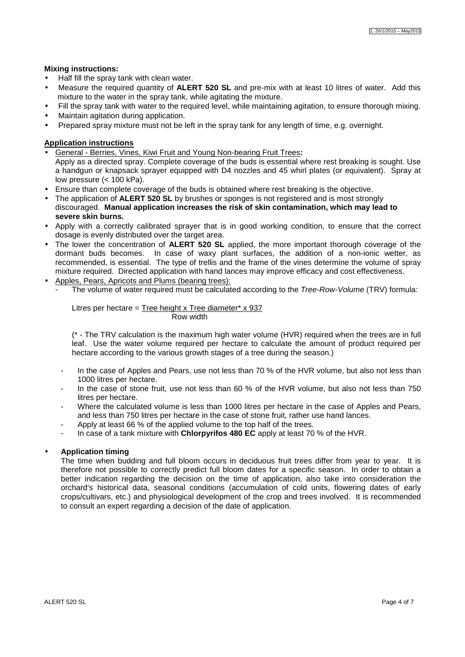### **Mixing instructions:**

- Half fill the spray tank with clean water.
- Measure the required quantity of **ALERT 520 SL** and pre-mix with at least 10 litres of water. Add this mixture to the water in the spray tank, while agitating the mixture.
- Fill the spray tank with water to the required level, while maintaining agitation, to ensure thorough mixing.
- Maintain agitation during application.
- Prepared spray mixture must not be left in the spray tank for any length of time, e.g. overnight.

### **Application instructions**

- General Berries, Vines, Kiwi Fruit and Young Non-bearing Fruit Trees**:**  Apply as a directed spray. Complete coverage of the buds is essential where rest breaking is sought. Use a handgun or knapsack sprayer equipped with D4 nozzles and 45 whirl plates (or equivalent). Spray at low pressure (< 100 kPa).
- Ensure than complete coverage of the buds is obtained where rest breaking is the objective.
- The application of **ALERT 520 SL** by brushes or sponges is not registered and is most strongly discouraged. **Manual application increases the risk of skin contamination, which may lead to severe skin burns.**
- Apply with a correctly calibrated sprayer that is in good working condition, to ensure that the correct dosage is evenly distributed over the target area.
- The lower the concentration of **ALERT 520 SL** applied, the more important thorough coverage of the dormant buds becomes. In case of waxy plant surfaces, the addition of a non-ionic wetter, as recommended, is essential. The type of trellis and the frame of the vines determine the volume of spray mixture required. Directed application with hand lances may improve efficacy and cost effectiveness.
- Apples, Pears, Apricots and Plums (bearing trees):
	- The volume of water required must be calculated according to the Tree-Row-Volume (TRV) formula:

Litres per hectare = Tree height x Tree diameter\*  $x$  937 Row width

(\* - The TRV calculation is the maximum high water volume (HVR) required when the trees are in full leaf. Use the water volume required per hectare to calculate the amount of product required per hectare according to the various growth stages of a tree during the season.)

- In the case of Apples and Pears, use not less than 70 % of the HVR volume, but also not less than 1000 litres per hectare.
- In the case of stone fruit, use not less than 60 % of the HVR volume, but also not less than 750 litres per hectare.
- Where the calculated volume is less than 1000 litres per hectare in the case of Apples and Pears, and less than 750 litres per hectare in the case of stone fruit, rather use hand lances.
- Apply at least 66 % of the applied volume to the top half of the trees.
- In case of a tank mixture with **Chlorpyrifos 480 EC** apply at least 70 % of the HVR.

# • **Application timing**

The time when budding and full bloom occurs in deciduous fruit trees differ from year to year. It is therefore not possible to correctly predict full bloom dates for a specific season. In order to obtain a better indication regarding the decision on the time of application, also take into consideration the orchard's historical data, seasonal conditions (accumulation of cold units, flowering dates of early crops/cultivars, etc.) and physiological development of the crop and trees involved. It is recommended to consult an expert regarding a decision of the date of application.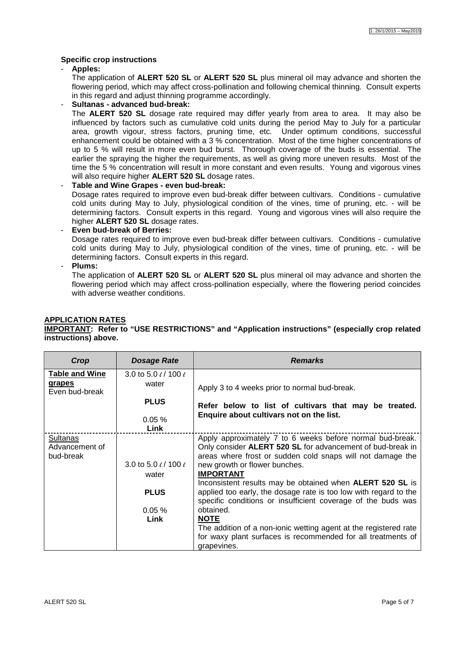### **Specific crop instructions**

- **Apples:** 

The application of **ALERT 520 SL** or **ALERT 520 SL** plus mineral oil may advance and shorten the flowering period, which may affect cross-pollination and following chemical thinning. Consult experts in this regard and adjust thinning programme accordingly.

### - **Sultanas - advanced bud-break:**

The **ALERT 520 SL** dosage rate required may differ yearly from area to area. It may also be influenced by factors such as cumulative cold units during the period May to July for a particular area, growth vigour, stress factors, pruning time, etc. Under optimum conditions, successful enhancement could be obtained with a 3 % concentration. Most of the time higher concentrations of up to 5 % will result in more even bud burst. Thorough coverage of the buds is essential. The earlier the spraying the higher the requirements, as well as giving more uneven results. Most of the time the 5 % concentration will result in more constant and even results. Young and vigorous vines will also require higher **ALERT 520 SL** dosage rates.

### - **Table and Wine Grapes - even bud-break:**

Dosage rates required to improve even bud-break differ between cultivars. Conditions - cumulative cold units during May to July, physiological condition of the vines, time of pruning, etc. - will be determining factors. Consult experts in this regard. Young and vigorous vines will also require the higher **ALERT 520 SL** dosage rates.

### - **Even bud-break of Berries:**

Dosage rates required to improve even bud-break differ between cultivars. Conditions - cumulative cold units during May to July, physiological condition of the vines, time of pruning, etc. - will be determining factors. Consult experts in this regard.

- **Plums:** 

The application of **ALERT 520 SL** or **ALERT 520 SL** plus mineral oil may advance and shorten the flowering period which may affect cross-pollination especially, where the flowering period coincides with adverse weather conditions.

#### **APPLICATION RATES**

**IMPORTANT: Refer to "USE RESTRICTIONS" and "Application instructions" (especially crop related instructions) above.** 

| Crop                     | Dosage Rate                    | <b>Remarks</b>                                                                                                                   |
|--------------------------|--------------------------------|----------------------------------------------------------------------------------------------------------------------------------|
| <b>Table and Wine</b>    | 3.0 to 5.0 $\ell$ / 100 $\ell$ |                                                                                                                                  |
| grapes<br>Even bud-break | water                          | Apply 3 to 4 weeks prior to normal bud-break.                                                                                    |
|                          | <b>PLUS</b>                    | Refer below to list of cultivars that may be treated.                                                                            |
|                          | $0.05 \%$                      | Enquire about cultivars not on the list.                                                                                         |
|                          | Link                           |                                                                                                                                  |
| Sultanas                 |                                | Apply approximately 7 to 6 weeks before normal bud-break.                                                                        |
| Advancement of           |                                | Only consider ALERT 520 SL for advancement of bud-break in                                                                       |
| bud-break                |                                | areas where frost or sudden cold snaps will not damage the                                                                       |
|                          | 3.0 to 5.0 $\ell$ / 100 $\ell$ | new growth or flower bunches.                                                                                                    |
|                          | water                          | <b>IMPORTANT</b>                                                                                                                 |
|                          |                                | Inconsistent results may be obtained when ALERT 520 SL is                                                                        |
|                          | <b>PLUS</b>                    | applied too early, the dosage rate is too low with regard to the<br>specific conditions or insufficient coverage of the buds was |
|                          | $0.05 \%$                      | obtained.                                                                                                                        |
|                          | Link                           | <b>NOTE</b>                                                                                                                      |
|                          |                                | The addition of a non-ionic wetting agent at the registered rate                                                                 |
|                          |                                | for waxy plant surfaces is recommended for all treatments of                                                                     |
|                          |                                | grapevines.                                                                                                                      |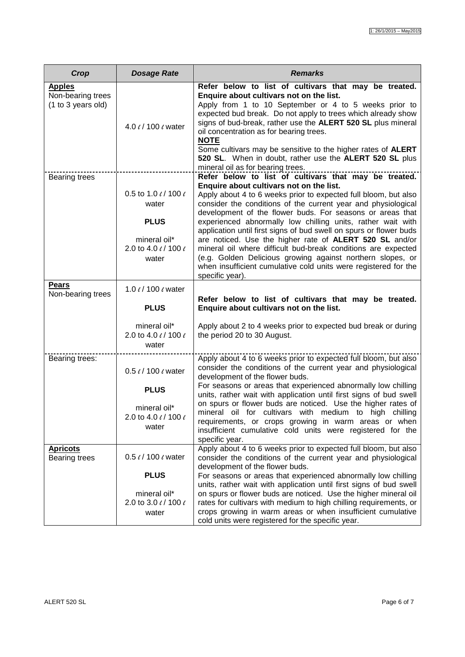| Crop                                                     | <b>Dosage Rate</b>                                                                                      | <b>Remarks</b>                                                                                                                                                                                                                                                                                                                                                                                                                                                                                                                                                                                                                                                                                                          |
|----------------------------------------------------------|---------------------------------------------------------------------------------------------------------|-------------------------------------------------------------------------------------------------------------------------------------------------------------------------------------------------------------------------------------------------------------------------------------------------------------------------------------------------------------------------------------------------------------------------------------------------------------------------------------------------------------------------------------------------------------------------------------------------------------------------------------------------------------------------------------------------------------------------|
| <b>Apples</b><br>Non-bearing trees<br>(1 to 3 years old) | 4.0 $\ell$ / 100 $\ell$ water                                                                           | Refer below to list of cultivars that may be treated.<br>Enquire about cultivars not on the list.<br>Apply from 1 to 10 September or 4 to 5 weeks prior to<br>expected bud break. Do not apply to trees which already show<br>signs of bud-break, rather use the ALERT 520 SL plus mineral<br>oil concentration as for bearing trees.<br><b>NOTE</b><br>Some cultivars may be sensitive to the higher rates of ALERT<br>520 SL. When in doubt, rather use the ALERT 520 SL plus<br>mineral oil as for bearing trees.                                                                                                                                                                                                    |
| Bearing trees                                            | 0.5 to 1.0 $\ell$ / 100 $\ell$<br>water<br><b>PLUS</b><br>mineral oil*<br>2.0 to 4.0 e/ 100 e<br>water  | Refer below to list of cultivars that may be treated.<br>Enquire about cultivars not on the list.<br>Apply about 4 to 6 weeks prior to expected full bloom, but also<br>consider the conditions of the current year and physiological<br>development of the flower buds. For seasons or areas that<br>experienced abnormally low chilling units, rather wait with<br>application until first signs of bud swell on spurs or flower buds<br>are noticed. Use the higher rate of ALERT 520 SL and/or<br>mineral oil where difficult bud-break conditions are expected<br>(e.g. Golden Delicious growing against northern slopes, or<br>when insufficient cumulative cold units were registered for the<br>specific year). |
| <b>Pears</b><br>Non-bearing trees                        | 1.0 $\ell$ / 100 $\ell$ water<br><b>PLUS</b>                                                            | Refer below to list of cultivars that may be treated.<br>Enquire about cultivars not on the list.                                                                                                                                                                                                                                                                                                                                                                                                                                                                                                                                                                                                                       |
|                                                          | mineral oil*<br>2.0 to 4.0 e/ 100 e<br>water                                                            | Apply about 2 to 4 weeks prior to expected bud break or during<br>the period 20 to 30 August.                                                                                                                                                                                                                                                                                                                                                                                                                                                                                                                                                                                                                           |
| Bearing trees:                                           | 0.5 $\ell$ / 100 $\ell$ water<br><b>PLUS</b><br>mineral oil*<br>2.0 to 4.0 $\ell$ / 100 $\ell$<br>water | Apply about 4 to 6 weeks prior to expected full bloom, but also<br>consider the conditions of the current year and physiological<br>development of the flower buds.<br>For seasons or areas that experienced abnormally low chilling<br>units, rather wait with application until first signs of bud swell<br>on spurs or flower buds are noticed. Use the higher rates of<br>mineral oil for cultivars with medium to high chilling<br>requirements, or crops growing in warm areas or when<br>insufficient cumulative cold units were registered for the<br>specific year.                                                                                                                                            |
| <b>Apricots</b><br>Bearing trees                         | $0.5$ $\ell$ / 100 $\ell$ water<br><b>PLUS</b>                                                          | Apply about 4 to 6 weeks prior to expected full bloom, but also<br>consider the conditions of the current year and physiological<br>development of the flower buds.<br>For seasons or areas that experienced abnormally low chilling                                                                                                                                                                                                                                                                                                                                                                                                                                                                                    |
|                                                          | mineral oil*<br>2.0 to 3.0 e/ 100 e<br>water                                                            | units, rather wait with application until first signs of bud swell<br>on spurs or flower buds are noticed. Use the higher mineral oil<br>rates for cultivars with medium to high chilling requirements, or<br>crops growing in warm areas or when insufficient cumulative<br>cold units were registered for the specific year.                                                                                                                                                                                                                                                                                                                                                                                          |